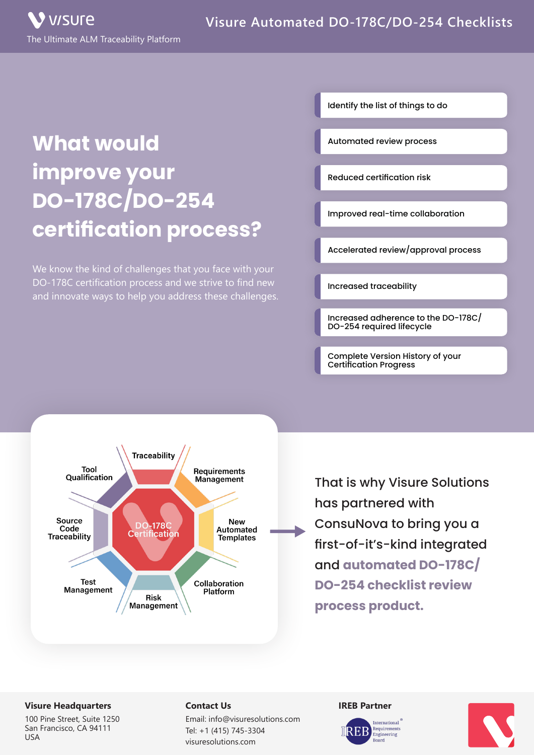# **What would improve your DO-178C/DO-254 certification process?**

We know the kind of challenges that you face with your DO-178C certification process and we strive to find new and innovate ways to help you address these challenges. Identify the list of things to do

Automated review process

Reduced certification risk

Improved real-time collaboration

Accelerated review/approval process

Increased traceability

Increased adherence to the DO-178C/ DO-254 required lifecycle

Complete Version History of your Certification Progress



That is why Visure Solutions has partnered with ConsuNova to bring you a first-of-it's-kind integrated and **automated DO-178C/ DO-254 checklist review process product.**

### **Visure Headquarters**

100 Pine Street, Suite 1250 San Francisco, CA 94111 USA

## **Contact Us**

Email: info@visuresolutions.com Tel: +1 (415) 745-3304 visuresolutions.com

#### **IREB Partner**